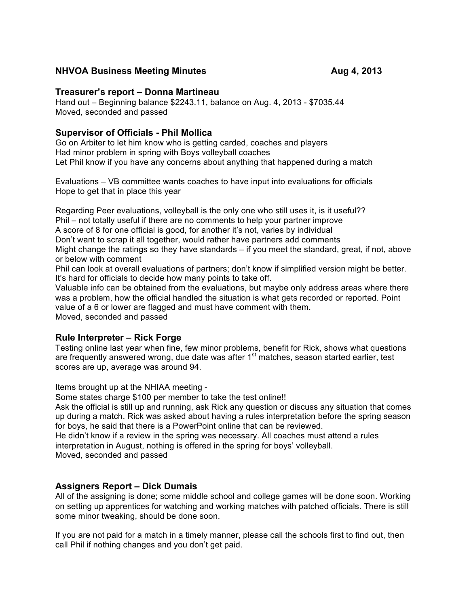## **NHVOA Business Meeting Minutes <b>Aug 4, 2013**

## **Treasurer's report – Donna Martineau**

Hand out – Beginning balance \$2243.11, balance on Aug. 4, 2013 - \$7035.44 Moved, seconded and passed

# **Supervisor of Officials - Phil Mollica**

Go on Arbiter to let him know who is getting carded, coaches and players Had minor problem in spring with Boys volleyball coaches Let Phil know if you have any concerns about anything that happened during a match

Evaluations – VB committee wants coaches to have input into evaluations for officials Hope to get that in place this year

Regarding Peer evaluations, volleyball is the only one who still uses it, is it useful?? Phil – not totally useful if there are no comments to help your partner improve A score of 8 for one official is good, for another it's not, varies by individual Don't want to scrap it all together, would rather have partners add comments Might change the ratings so they have standards – if you meet the standard, great, if not, above or below with comment

Phil can look at overall evaluations of partners; don't know if simplified version might be better. It's hard for officials to decide how many points to take off.

Valuable info can be obtained from the evaluations, but maybe only address areas where there was a problem, how the official handled the situation is what gets recorded or reported. Point value of a 6 or lower are flagged and must have comment with them. Moved, seconded and passed

## **Rule Interpreter – Rick Forge**

Testing online last year when fine, few minor problems, benefit for Rick, shows what questions are frequently answered wrong, due date was after  $1<sup>st</sup>$  matches, season started earlier, test scores are up, average was around 94.

Items brought up at the NHIAA meeting -

Some states charge \$100 per member to take the test online!!

Ask the official is still up and running, ask Rick any question or discuss any situation that comes up during a match. Rick was asked about having a rules interpretation before the spring season for boys, he said that there is a PowerPoint online that can be reviewed.

He didn't know if a review in the spring was necessary. All coaches must attend a rules interpretation in August, nothing is offered in the spring for boys' volleyball. Moved, seconded and passed

# **Assigners Report – Dick Dumais**

All of the assigning is done; some middle school and college games will be done soon. Working on setting up apprentices for watching and working matches with patched officials. There is still some minor tweaking, should be done soon.

If you are not paid for a match in a timely manner, please call the schools first to find out, then call Phil if nothing changes and you don't get paid.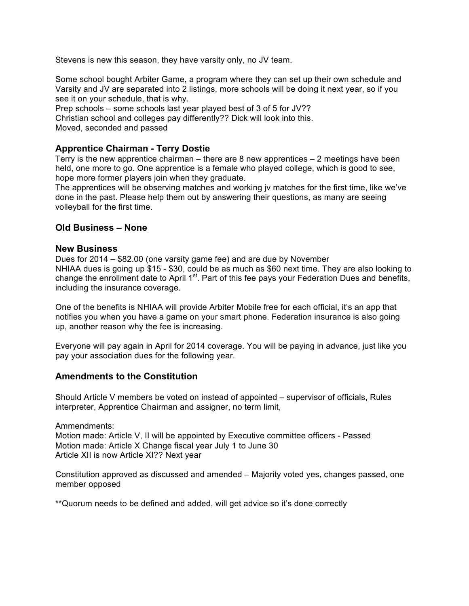Stevens is new this season, they have varsity only, no JV team.

Some school bought Arbiter Game, a program where they can set up their own schedule and Varsity and JV are separated into 2 listings, more schools will be doing it next year, so if you see it on your schedule, that is why.

Prep schools – some schools last year played best of 3 of 5 for JV?? Christian school and colleges pay differently?? Dick will look into this. Moved, seconded and passed

# **Apprentice Chairman - Terry Dostie**

Terry is the new apprentice chairman – there are 8 new apprentices  $-2$  meetings have been held, one more to go. One apprentice is a female who played college, which is good to see, hope more former players join when they graduate.

The apprentices will be observing matches and working jv matches for the first time, like we've done in the past. Please help them out by answering their questions, as many are seeing volleyball for the first time.

## **Old Business – None**

### **New Business**

Dues for 2014 – \$82.00 (one varsity game fee) and are due by November NHIAA dues is going up \$15 - \$30, could be as much as \$60 next time. They are also looking to change the enrollment date to April 1<sup>st</sup>. Part of this fee pays your Federation Dues and benefits, including the insurance coverage.

One of the benefits is NHIAA will provide Arbiter Mobile free for each official, it's an app that notifies you when you have a game on your smart phone. Federation insurance is also going up, another reason why the fee is increasing.

Everyone will pay again in April for 2014 coverage. You will be paying in advance, just like you pay your association dues for the following year.

## **Amendments to the Constitution**

Should Article V members be voted on instead of appointed – supervisor of officials, Rules interpreter, Apprentice Chairman and assigner, no term limit,

Ammendments: Motion made: Article V, II will be appointed by Executive committee officers - Passed Motion made: Article X Change fiscal year July 1 to June 30 Article XII is now Article XI?? Next year

Constitution approved as discussed and amended – Majority voted yes, changes passed, one member opposed

\*\*Quorum needs to be defined and added, will get advice so it's done correctly